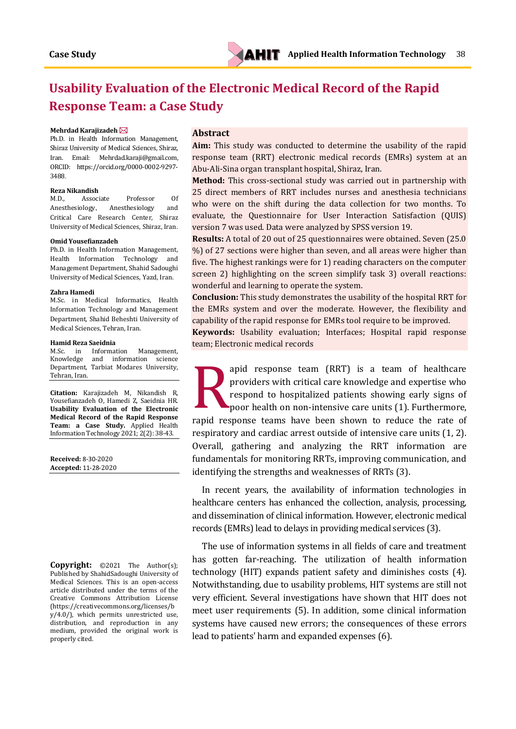# **Usability Evaluation of the Electronic Medical Record of the Rapid Response Team: a Case Study**

#### **Mehrdad Karajizadeh**

Ph.D. in Health Information Management, Shiraz University of Medical Sciences, Shiraz, Iran. Email: Mehrdad.karaji@gmail.com, ORCID: https://orcid.org/0000-0002-9297- 3488.

#### **Reza Nikandish**

M.D., Associate Professor Of Anesthesiology, Anesthesiology and Critical Care Research Center, Shiraz University of Medical Sciences, Shiraz, Iran.

#### **Omid Yousefianzadeh**

Ph.D. in Health Information Management, Health Information Technology and Management Department, Shahid Sadoughi University of Medical Sciences, Yazd, Iran.

#### **Zahra Hamedi**

M.Sc. in Medical Informatics, Health Information Technology and Management Department, Shahid Beheshti University of Medical Sciences, Tehran, Iran.

**[Hamid Reza Saeidnia](https://pubmed.ncbi.nlm.nih.gov/?sort=pubdate&term=Saeidnia+HR&cauthor_id=34042856)** Management, Knowledge and information science Department, Tarbiat Modares University, Tehran, Iran.

**Citation:** Karajizadeh M, Nikandish R, Yousefianzadeh O, Hamedi Z, Saeidnia HR. **Usability Evaluation of the Electronic Medical Record of the Rapid Response Team: a Case Study.** Applied Health Information Technology 2021; 2(2): 38-43.

**Received: 8-30-2020 Accepted:** 11-88-2020

**Copyright:** ©2021 The Author(s); Published by ShahidSadoughi University of Medical Sciences. This is an open-access article distributed under the terms of the Creative Commons Attribution License (https://creativecommons.org/licenses/b y/4.0/), which permits unrestricted use, distribution, and reproduction in any medium, provided the original work is properly cited.

#### **Abstract**

**Aim:** This study was conducted to determine the usability of the rapid response team (RRT) electronic medical records (EMRs) system at an Abu-Ali-Sina organ transplant hospital, Shiraz, Iran.

**Method:** This cross-sectional study was carried out in partnership with 25 direct members of RRT includes nurses and anesthesia technicians who were on the shift during the data collection for two months. To evaluate, the Questionnaire for User Interaction Satisfaction (QUIS) version 7 was used. Data were analyzed by SPSS version 19.

**Results:** A total of 20 out of 25 questionnaires were obtained. Seven (25.0 %) of 27 sections were higher than seven, and all areas were higher than five. The highest rankings were for 1) reading characters on the computer screen 2) highlighting on the screen simplify task 3) overall reactions: wonderful and learning to operate the system.

**Conclusion:** This study demonstrates the usability of the hospital RRT for the EMRs system and over the moderate. However, the flexibility and capability of the rapid response for EMRs tool require to be improved.

**Keywords:** Usability evaluation; Interfaces; Hospital rapid response team; Electronic medical records

apid response team (RRT) is a team of healthcare providers with critical care knowledge and expertise who respond to hospitalized patients showing early signs of poor health on non-intensive care units (1). Furthermore, rapid response teams have been shown to reduce the rate of respiratory and cardiac arrest outside of intensive care units (1, 2). Overall, gathering and analyzing the RRT information are fundamentals for monitoring RRTs, improving communication, and identifying the strengths and weaknesses of RRTs (3). R

In recent years, the availability of information technologies in healthcare centers has enhanced the collection, analysis, processing, and dissemination of clinical information. However, electronic medical records (EMRs) lead to delays in providing medical services (3).

The use of information systems in all fields of care and treatment has gotten far-reaching. The utilization of health information technology (HIT) expands patient safety and diminishes costs (4). Notwithstanding, due to usability problems, HIT systems are still not very efficient. Several investigations have shown that HIT does not meet user requirements (5). In addition, some clinical information systems have caused new errors; the consequences of these errors lead to patients' harm and expanded expenses (6).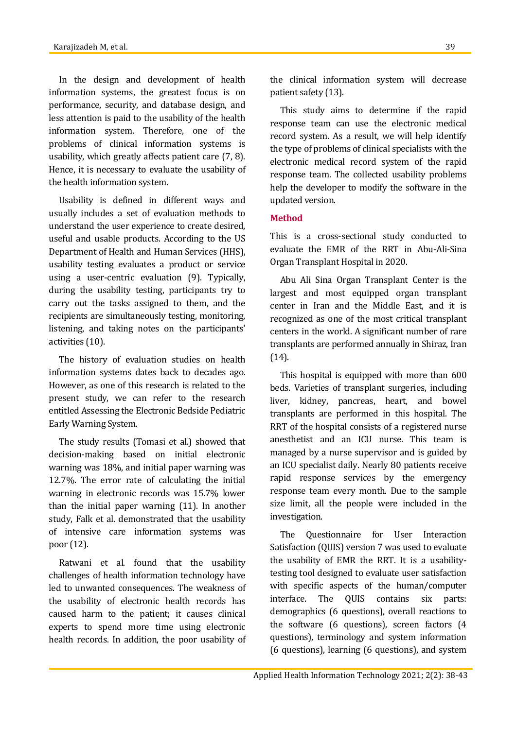In the design and development of health information systems, the greatest focus is on performance, security, and database design, and less attention is paid to the usability of the health information system. Therefore, one of the problems of clinical information systems is usability, which greatly affects patient care (7, 8). Hence, it is necessary to evaluate the usability of the health information system.

Usability is defined in different ways and usually includes a set of evaluation methods to understand the user experience to create desired, useful and usable products. According to the US Department of Health and Human Services (HHS), usability testing evaluates a product or service using a user-centric evaluation (9). Typically, during the usability testing, participants try to carry out the tasks assigned to them, and the recipients are simultaneously testing, monitoring, listening, and taking notes on the participants' activities (10).

The history of evaluation studies on health information systems dates back to decades ago. However, as one of this research is related to the present study, we can refer to the research entitled Assessing the Electronic Bedside Pediatric Early Warning System.

The study results (Tomasi et al.) showed that decision-making based on initial electronic warning was 18%, and initial paper warning was 12.7%. The error rate of calculating the initial warning in electronic records was 15.7% lower than the initial paper warning (11). In another study, Falk et al. demonstrated that the usability of intensive care information systems was poor (12).

Ratwani et al. found that the usability challenges of health information technology have led to unwanted consequences. The weakness of the usability of electronic health records has caused harm to the patient; it causes clinical experts to spend more time using electronic health records. In addition, the poor usability of the clinical information system will decrease patient safety (13).

This study aims to determine if the rapid response team can use the electronic medical record system. As a result, we will help identify the type of problems of clinical specialists with the electronic medical record system of the rapid response team. The collected usability problems help the developer to modify the software in the updated version.

## **Method**

This is a cross-sectional study conducted to evaluate the EMR of the RRT in Abu-Ali-Sina Organ Transplant Hospital in 2020.

Abu Ali Sina Organ Transplant Center is the largest and most equipped organ transplant center in Iran and the Middle East, and it is recognized as one of the most critical transplant centers in the world. A significant number of rare transplants are performed annually in Shiraz, Iran (14).

This hospital is equipped with more than 600 beds. Varieties of transplant surgeries, including liver, kidney, pancreas, heart, and bowel transplants are performed in this hospital. The RRT of the hospital consists of a registered nurse anesthetist and an ICU nurse. This team is managed by a nurse supervisor and is guided by an ICU specialist daily. Nearly 80 patients receive rapid response services by the emergency response team every month. Due to the sample size limit, all the people were included in the investigation.

The Questionnaire for User Interaction Satisfaction (QUIS) version 7 was used to evaluate the usability of EMR the RRT. It is a usabilitytesting tool designed to evaluate user satisfaction with specific aspects of the human/computer interface. The QUIS contains six parts: demographics (6 questions), overall reactions to the software (6 questions), screen factors (4 questions), terminology and system information (6 questions), learning (6 questions), and system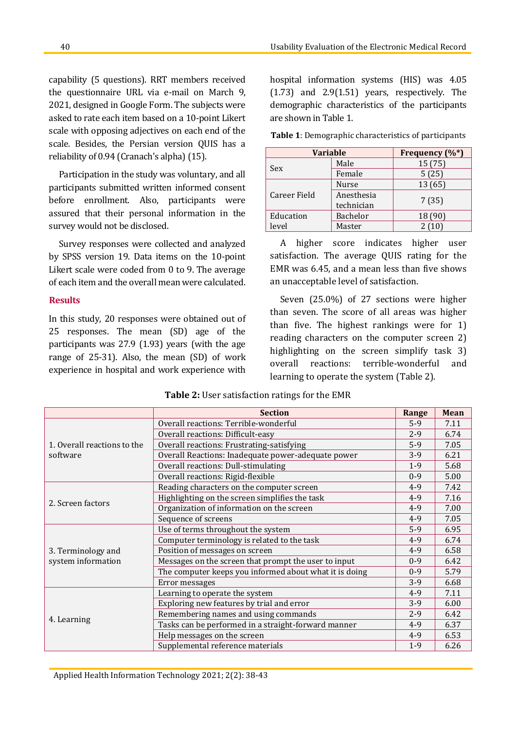capability (5 questions). RRT members received the questionnaire URL via e-mail on March 9, 2021, designed in Google Form. The subjects were asked to rate each item based on a 10-point Likert scale with opposing adjectives on each end of the scale. Besides, the Persian version QUIS has a reliability of 0.94 (Cranach's alpha) (15).

Participation in the study was voluntary, and all participants submitted written informed consent before enrollment. Also, participants were assured that their personal information in the survey would not be disclosed.

Survey responses were collected and analyzed by SPSS version 19. Data items on the 10-point Likert scale were coded from 0 to 9. The average of each item and the overall mean were calculated.

## **Results**

In this study, 20 responses were obtained out of 25 responses. The mean (SD) age of the participants was 27.9 (1.93) years (with the age range of 25-31). Also, the mean (SD) of work experience in hospital and work experience with

hospital information systems (HIS) was 4.05 (1.73) and 2.9(1.51) years, respectively. The demographic characteristics of the participants are shown in Table 1.

| <b>Variable</b> |                 | Frequency (%*) |  |
|-----------------|-----------------|----------------|--|
| Sex             | Male            | 15(75)         |  |
|                 | Female          | 5(25)          |  |
| Career Field    | <b>Nurse</b>    | 13(65)         |  |
|                 | Anesthesia      | 7(35)          |  |
|                 | technician      |                |  |
| Education       | <b>Bachelor</b> | 18 (90)        |  |
| level           | Master          |                |  |

**Table 1**: Demographic characteristics of participants

A higher score indicates higher user satisfaction. The average QUIS rating for the EMR was 6.45, and a mean less than five shows an unacceptable level of satisfaction.

Seven (25.0%) of 27 sections were higher than seven. The score of all areas was higher than five. The highest rankings were for 1) reading characters on the computer screen 2) highlighting on the screen simplify task 3) overall reactions: terrible-wonderful and learning to operate the system (Table 2).

|                                          | <b>Section</b>                                         | Range   | <b>Mean</b> |
|------------------------------------------|--------------------------------------------------------|---------|-------------|
| 1. Overall reactions to the<br>software  | Overall reactions: Terrible-wonderful                  | $5-9$   | 7.11        |
|                                          | Overall reactions: Difficult-easy                      | $2-9$   | 6.74        |
|                                          | Overall reactions: Frustrating-satisfying              | $5-9$   | 7.05        |
|                                          | Overall Reactions: Inadequate power-adequate power     | $3-9$   | 6.21        |
|                                          | Overall reactions: Dull-stimulating                    | $1-9$   | 5.68        |
|                                          | Overall reactions: Rigid-flexible                      | $0 - 9$ | 5.00        |
| 2. Screen factors                        | Reading characters on the computer screen              | $4-9$   | 7.42        |
|                                          | Highlighting on the screen simplifies the task         | $4-9$   | 7.16        |
|                                          | Organization of information on the screen              | $4-9$   | 7.00        |
|                                          | Sequence of screens                                    | $4-9$   | 7.05        |
| 3. Terminology and<br>system information | Use of terms throughout the system                     | $5-9$   | 6.95        |
|                                          | Computer terminology is related to the task            | $4 - 9$ | 6.74        |
|                                          | Position of messages on screen                         | $4-9$   | 6.58        |
|                                          | Messages on the screen that prompt the user to input   | $0 - 9$ | 6.42        |
|                                          | The computer keeps you informed about what it is doing | $0 - 9$ | 5.79        |
|                                          | Error messages                                         | $3-9$   | 6.68        |
| 4. Learning                              | Learning to operate the system                         | $4 - 9$ | 7.11        |
|                                          | Exploring new features by trial and error              | $3-9$   | 6.00        |
|                                          | Remembering names and using commands                   | $2-9$   | 6.42        |
|                                          | Tasks can be performed in a straight-forward manner    | $4 - 9$ | 6.37        |
|                                          | Help messages on the screen                            | $4 - 9$ | 6.53        |
|                                          | Supplemental reference materials                       | $1 - 9$ | 6.26        |

**Table 2:** User satisfaction ratings for the EMR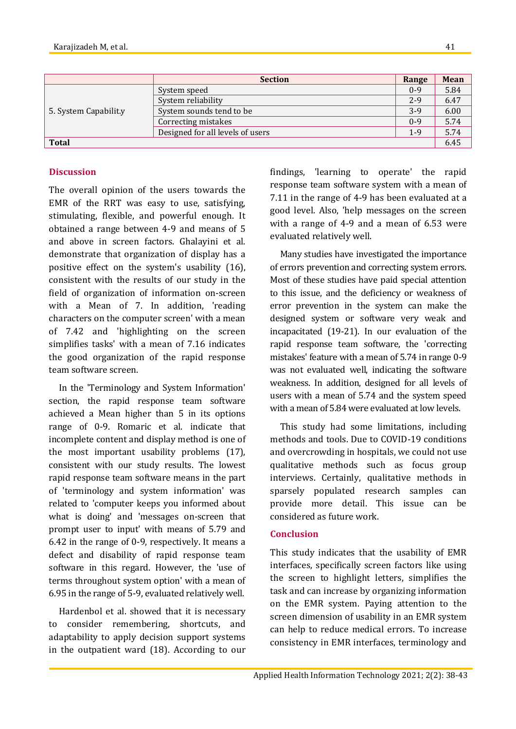|                       | <b>Section</b>                   | Range   | <b>Mean</b> |
|-----------------------|----------------------------------|---------|-------------|
| 5. System Capabilit.y | System speed                     | $0 - 9$ | 5.84        |
|                       | System reliability               | $2-9$   | 6.47        |
|                       | System sounds tend to be         | $3-9$   | 6.00        |
|                       | Correcting mistakes              | $0 - 9$ | 5.74        |
|                       | Designed for all levels of users | $1 - 9$ | 5.74        |
| <b>Total</b>          |                                  |         | 6.45        |

## **Discussion**

The overall opinion of the users towards the EMR of the RRT was easy to use, satisfying, stimulating, flexible, and powerful enough. It obtained a range between 4-9 and means of 5 and above in screen factors. Ghalayini et al. demonstrate that organization of display has a positive effect on the system's usability (16), consistent with the results of our study in the field of organization of information on-screen with a Mean of 7. In addition, 'reading characters on the computer screen' with a mean of 7.42 and 'highlighting on the screen simplifies tasks' with a mean of 7.16 indicates the good organization of the rapid response team software screen.

In the 'Terminology and System Information' section, the rapid response team software achieved a Mean higher than 5 in its options range of 0-9. Romaric et al. indicate that incomplete content and display method is one of the most important usability problems (17), consistent with our study results. The lowest rapid response team software means in the part of 'terminology and system information' was related to 'computer keeps you informed about what is doing' and 'messages on-screen that prompt user to input' with means of 5.79 and 6.42 in the range of 0-9, respectively. It means a defect and disability of rapid response team software in this regard. However, the 'use of terms throughout system option' with a mean of 6.95 in the range of 5-9, evaluated relatively well.

Hardenbol et al. showed that it is necessary to consider remembering, shortcuts, and adaptability to apply decision support systems in the outpatient ward (18). According to our findings, 'learning to operate' the rapid response team software system with a mean of 7.11 in the range of 4-9 has been evaluated at a good level. Also, 'help messages on the screen with a range of 4-9 and a mean of 6.53 were evaluated relatively well.

Many studies have investigated the importance of errors prevention and correcting system errors. Most of these studies have paid special attention to this issue, and the deficiency or weakness of error prevention in the system can make the designed system or software very weak and incapacitated (19-21). In our evaluation of the rapid response team software, the 'correcting mistakes' feature with a mean of 5.74 in range 0-9 was not evaluated well, indicating the software weakness. In addition, designed for all levels of users with a mean of 5.74 and the system speed with a mean of 5.84 were evaluated at low levels.

This study had some limitations, including methods and tools. Due to COVID-19 conditions and overcrowding in hospitals, we could not use qualitative methods such as focus group interviews. Certainly, qualitative methods in sparsely populated research samples can provide more detail. This issue can be considered as future work.

## **Conclusion**

This study indicates that the usability of EMR interfaces, specifically screen factors like using the screen to highlight letters, simplifies the task and can increase by organizing information on the EMR system. Paying attention to the screen dimension of usability in an EMR system can help to reduce medical errors. To increase consistency in EMR interfaces, terminology and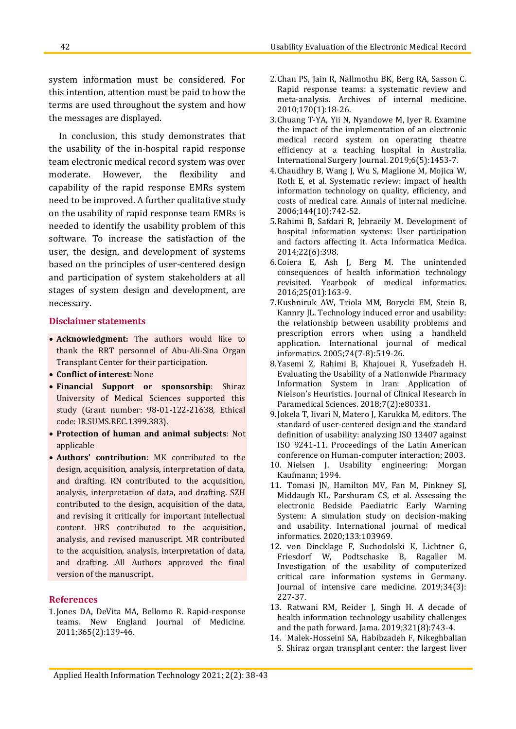system information must be considered. For this intention, attention must be paid to how the terms are used throughout the system and how the messages are displayed.

In conclusion, this study demonstrates that the usability of the in-hospital rapid response team electronic medical record system was over moderate. However, the flexibility and capability of the rapid response EMRs system need to be improved. A further qualitative study on the usability of rapid response team EMRs is needed to identify the usability problem of this software. To increase the satisfaction of the user, the design, and development of systems based on the principles of user-centered design and participation of system stakeholders at all stages of system design and development, are necessary.

## **Disclaimer statements**

- **Acknowledgment:** The authors would like to thank the RRT personnel of Abu-Ali-Sina Organ Transplant Center for their participation.
- **Conflict of interest**: None
- **Financial Support or sponsorship**: Shiraz University of Medical Sciences supported this study (Grant number: 98-01-122-21638, Ethical code: IR.SUMS.REC.1399.383).
- **Protection of human and animal subjects**: Not applicable
- **Authors' contribution**: MK contributed to the design, acquisition, analysis, interpretation of data, and drafting. RN contributed to the acquisition, analysis, interpretation of data, and drafting. SZH contributed to the design, acquisition of the data, and revising it critically for important intellectual content. HRS contributed to the acquisition, analysis, and revised manuscript. MR contributed to the acquisition, analysis, interpretation of data, and drafting. All Authors approved the final version of the manuscript.

### **References**

1.Jones DA, DeVita MA, Bellomo R. Rapid-response teams. New England Journal of Medicine. 2011;365(2):139-46.

- 2.Chan PS, Jain R, Nallmothu BK, Berg RA, Sasson C. Rapid response teams: a systematic review and meta-analysis. Archives of internal medicine. 2010;170(1):18-26.
- 3.Chuang T-YA, Yii N, Nyandowe M, Iyer R. Examine the impact of the implementation of an electronic medical record system on operating theatre efficiency at a teaching hospital in Australia. International Surgery Journal. 2019;6(5):1453-7.
- 4.Chaudhry B, Wang J, Wu S, Maglione M, Mojica W, Roth E, et al. Systematic review: impact of health information technology on quality, efficiency, and costs of medical care. Annals of internal medicine. 2006;144(10):742-52.
- 5.Rahimi B, Safdari R, Jebraeily M. Development of hospital information systems: User participation and factors affecting it. Acta Informatica Medica. 2014;22(6):398.
- 6.Coiera E, Ash J, Berg M. The unintended consequences of health information technology revisited. Yearbook of medical informatics. 2016;25(01):163-9.
- 7.Kushniruk AW, Triola MM, Borycki EM, Stein B, Kannry JL. Technology induced error and usability: the relationship between usability problems and prescription errors when using a handheld application. International journal of medical informatics. 2005;74(7-8):519-26.
- 8.Yasemi Z, Rahimi B, Khajouei R, Yusefzadeh H. Evaluating the Usability of a Nationwide Pharmacy Information System in Iran: Application of Nielson's Heuristics. Journal of Clinical Research in Paramedical Sciences. 2018;7(2):e80331.
- 9.Jokela T, Iivari N, Matero J, Karukka M, editors. The standard of user-centered design and the standard definition of usability: analyzing ISO 13407 against ISO 9241-11. Proceedings of the Latin American conference on Human-computer interaction; 2003.
- 10. Nielsen J. Usability engineering: Morgan Kaufmann; 1994.
- 11. Tomasi JN, Hamilton MV, Fan M, Pinkney SJ, Middaugh KL, Parshuram CS, et al. Assessing the electronic Bedside Paediatric Early Warning System: A simulation study on decision-making and usability. International journal of medical informatics. 2020;133:103969.
- 12. von Dincklage F, Suchodolski K, Lichtner G, Friesdorf W, Podtschaske B, Ragaller M. Investigation of the usability of computerized critical care information systems in Germany. Journal of intensive care medicine. 2019;34(3): 227-37.
- 13. Ratwani RM, Reider J, Singh H. A decade of health information technology usability challenges and the path forward. Jama. 2019;321(8):743-4.
- 14. Malek-Hosseini SA, Habibzadeh F, Nikeghbalian S. Shiraz organ transplant center: the largest liver